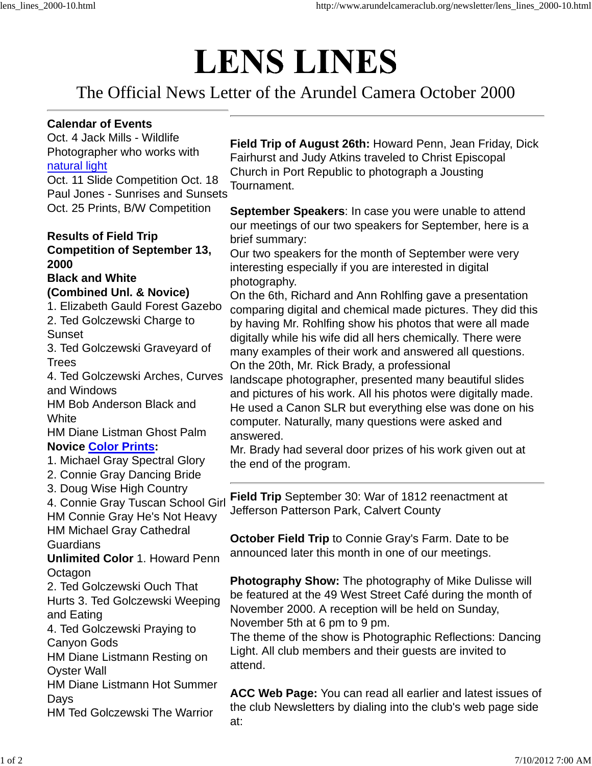# **LENS LINES**

The Official News Letter of the Arundel Camera October 2000

#### **Calendar of Events**

Oct. 4 Jack Mills - Wildlife Photographer who works with natural light Oct. 11 Slide Competition Oct. 18 Paul Jones - Sunrises and Sunsets

Oct. 25 Prints, B/W Competition

### **Results of Field Trip Competition of September 13, 2000**

#### **Black and White (Combined Unl. & Novice)**

- 1. Elizabeth Gauld Forest Gazebo
- 2. Ted Golczewski Charge to **Sunset**

3. Ted Golczewski Graveyard of Trees

4. Ted Golczewski Arches, Curves and Windows

HM Bob Anderson Black and **White** 

HM Diane Listman Ghost Palm **Novice Color Prints:**

- 1. Michael Gray Spectral Glory
- 2. Connie Gray Dancing Bride
- 3. Doug Wise High Country
- 4. Connie Gray Tuscan School Girl HM Connie Gray He's Not Heavy HM Michael Gray Cathedral Guardians

**Unlimited Color** 1. Howard Penn **Octagon** 

2. Ted Golczewski Ouch That Hurts 3. Ted Golczewski Weeping and Eating

4. Ted Golczewski Praying to Canyon Gods

HM Diane Listmann Resting on Oyster Wall

HM Diane Listmann Hot Summer **Davs** 

HM Ted Golczewski The Warrior

**Field Trip of August 26th:** Howard Penn, Jean Friday, Dick Fairhurst and Judy Atkins traveled to Christ Episcopal Church in Port Republic to photograph a Jousting Tournament.

**September Speakers**: In case you were unable to attend our meetings of our two speakers for September, here is a brief summary:

Our two speakers for the month of September were very interesting especially if you are interested in digital photography.

On the 6th, Richard and Ann Rohlfing gave a presentation comparing digital and chemical made pictures. They did this by having Mr. Rohlfing show his photos that were all made digitally while his wife did all hers chemically. There were many examples of their work and answered all questions. On the 20th, Mr. Rick Brady, a professional

landscape photographer, presented many beautiful slides and pictures of his work. All his photos were digitally made. He used a Canon SLR but everything else was done on his computer. Naturally, many questions were asked and answered.

Mr. Brady had several door prizes of his work given out at the end of the program.

**Field Trip** September 30: War of 1812 reenactment at Jefferson Patterson Park, Calvert County

**October Field Trip** to Connie Gray's Farm. Date to be announced later this month in one of our meetings.

**Photography Show:** The photography of Mike Dulisse will be featured at the 49 West Street Café during the month of November 2000. A reception will be held on Sunday, November 5th at 6 pm to 9 pm.

The theme of the show is Photographic Reflections: Dancing Light. All club members and their guests are invited to attend.

**ACC Web Page:** You can read all earlier and latest issues of the club Newsletters by dialing into the club's web page side at: